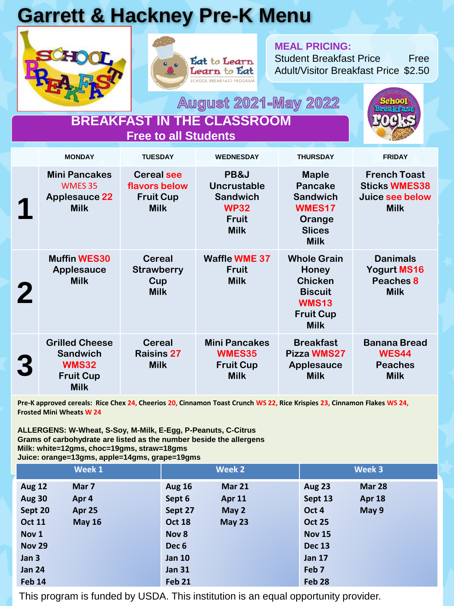## **Garrett & Hackney Pre-K Menu**





#### **MEAL PRICING:**

Student Breakfast Price Free Adult/Visitor Breakfast Price \$2.50

**August 2021-May 2022** 



| <b>BREAKFAST IN THE CLASSROOM</b> |  |
|-----------------------------------|--|
| Free to all Students'             |  |

|          | <b>MONDAY</b>                                                                               | <b>TUESDAY</b>                                                        | <b>WEDNESDAY</b>                                                                            | <b>THURSDAY</b>                                                                                                    | <b>FRIDAY</b>                                                                 |
|----------|---------------------------------------------------------------------------------------------|-----------------------------------------------------------------------|---------------------------------------------------------------------------------------------|--------------------------------------------------------------------------------------------------------------------|-------------------------------------------------------------------------------|
|          | <b>Mini Pancakes</b><br><b>WMES 35</b><br><b>Applesauce 22</b><br><b>Milk</b>               | <b>Cereal see</b><br>flavors below<br><b>Fruit Cup</b><br><b>Milk</b> | PB&J<br><b>Uncrustable</b><br><b>Sandwich</b><br><b>WP32</b><br><b>Fruit</b><br><b>Milk</b> | <b>Maple</b><br><b>Pancake</b><br><b>Sandwich</b><br>WMES17<br>Orange<br><b>Slices</b><br><b>Milk</b>              | <b>French Toast</b><br><b>Sticks WMES38</b><br>Juice see below<br><b>Milk</b> |
| $\bf{2}$ | <b>Muffin WES30</b><br><b>Applesauce</b><br><b>Milk</b>                                     | <b>Cereal</b><br><b>Strawberry</b><br>Cup<br><b>Milk</b>              | <b>Waffle WME 37</b><br><b>Fruit</b><br><b>Milk</b>                                         | <b>Whole Grain</b><br>Honey<br><b>Chicken</b><br><b>Biscuit</b><br><b>WMS13</b><br><b>Fruit Cup</b><br><b>Milk</b> | <b>Danimals</b><br>Yogurt MS16<br>Peaches 8<br><b>Milk</b>                    |
| 3        | <b>Grilled Cheese</b><br><b>Sandwich</b><br><b>WMS32</b><br><b>Fruit Cup</b><br><b>Milk</b> | <b>Cereal</b><br><b>Raisins 27</b><br><b>Milk</b>                     | <b>Mini Pancakes</b><br>WMES35<br><b>Fruit Cup</b><br><b>Milk</b>                           | <b>Breakfast</b><br>Pizza WMS27<br><b>Applesauce</b><br><b>Milk</b>                                                | <b>Banana Bread</b><br><b>WES44</b><br><b>Peaches</b><br><b>Milk</b>          |

**Pre-K approved cereals: Rice Chex 24, Cheerios 20, Cinnamon Toast Crunch WS 22, Rice Krispies 23, Cinnamon Flakes WS 24, Frosted Mini Wheats W 24**

**ALLERGENS: W-Wheat, S-Soy, M-Milk, E-Egg, P-Peanuts, C-Citrus Grams of carbohydrate are listed as the number beside the allergens Milk: white=12gms, choc=19gms, straw=18gms Juice: orange=13gms, apple=14gms, grape=19gms**

|               | Week 1        | Week 2           |               | Week 3            |               |
|---------------|---------------|------------------|---------------|-------------------|---------------|
| <b>Aug 12</b> | Mar 7         | <b>Aug 16</b>    | <b>Mar 21</b> | <b>Aug 23</b>     | <b>Mar 28</b> |
| <b>Aug 30</b> | Apr 4         | Sept 6           | Apr 11        | Sept 13           | Apr 18        |
| Sept 20       | Apr 25        | Sept 27          | May 2         | Oct 4             | May 9         |
| <b>Oct 11</b> | <b>May 16</b> | <b>Oct 18</b>    | May 23        | <b>Oct 25</b>     |               |
| Nov 1         |               | Nov 8            |               | <b>Nov 15</b>     |               |
| <b>Nov 29</b> |               | Dec <sub>6</sub> |               | <b>Dec 13</b>     |               |
| Jan 3         |               | <b>Jan 10</b>    |               | <b>Jan 17</b>     |               |
| <b>Jan 24</b> |               | <b>Jan 31</b>    |               | Feb <sub>7</sub>  |               |
| <b>Feb 14</b> |               | Feb 21           |               | Feb <sub>28</sub> |               |

This program is funded by USDA. This institution is an equal opportunity provider.